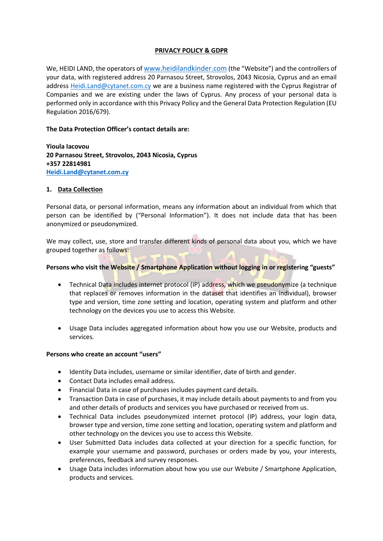# **PRIVACY POLICY & GDPR**

We, HEIDI LAND, the operators o[f www.heidilandkinder.com](http://www.heidilandkinder.com/) (the "Website") and the controllers of your data, with registered address 20 Parnasou Street, Strovolos, 2043 Nicosia, Cyprus and an email address [Heidi.Land@cytanet.com.cy](mailto:Heidi.Land@cytanet.com.cy) we are a business name registered with the Cyprus Registrar of Companies and we are existing under the laws of Cyprus. Any process of your personal data is performed only in accordance with this Privacy Policy and the General Data Protection Regulation (EU Regulation 2016/679).

# **The Data Protection Officer's contact details are:**

**Yioula Iacovou 20 Parnasou Street, Strovolos, 2043 Nicosia, Cyprus +357 22814981 [Heidi.Land@cytanet.com.cy](mailto:Heidi.Land@cytanet.com.cy)**

#### **1. Data Collection**

Personal data, or personal information, means any information about an individual from which that person can be identified by ("Personal Information"). It does not include data that has been anonymized or pseudonymized.

We may collect, use, store and transfer different kinds of personal data about you, which we have grouped together as follows:

# **Persons who visit the Website / Smartphone Application without logging in or registering "guests"**

- Technical Data includes internet protocol (IP) address, which we pseudonymize (a technique that replaces or removes information in the dataset that identifies an individual), browser type and version, time zone setting and location, operating system and platform and other technology on the devices you use to access this Website.
- Usage Data includes aggregated information about how you use our Website, products and services.

#### **Persons who create an account "users"**

- Identity Data includes, username or similar identifier, date of birth and gender.
- Contact Data includes email address.
- Financial Data in case of purchases includes payment card details.
- Transaction Data in case of purchases, it may include details about payments to and from you and other details of products and services you have purchased or received from us.
- Technical Data includes pseudonymized internet protocol (IP) address, your login data, browser type and version, time zone setting and location, operating system and platform and other technology on the devices you use to access this Website.
- User Submitted Data includes data collected at your direction for a specific function, for example your username and password, purchases or orders made by you, your interests, preferences, feedback and survey responses.
- Usage Data includes information about how you use our Website / Smartphone Application, products and services.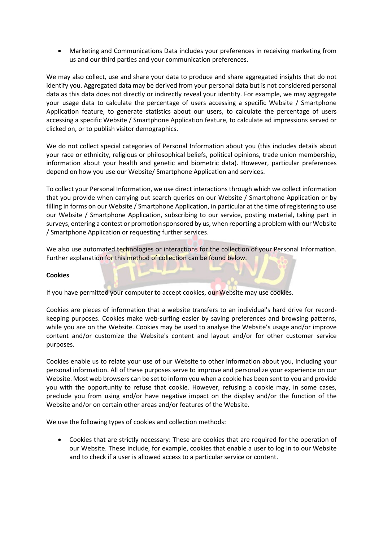• Marketing and Communications Data includes your preferences in receiving marketing from us and our third parties and your communication preferences.

We may also collect, use and share your data to produce and share aggregated insights that do not identify you. Aggregated data may be derived from your personal data but is not considered personal data as this data does not directly or indirectly reveal your identity. For example, we may aggregate your usage data to calculate the percentage of users accessing a specific Website / Smartphone Application feature, to generate statistics about our users, to calculate the percentage of users accessing a specific Website / Smartphone Application feature, to calculate ad impressions served or clicked on, or to publish visitor demographics.

We do not collect special categories of Personal Information about you (this includes details about your race or ethnicity, religious or philosophical beliefs, political opinions, trade union membership, information about your health and genetic and biometric data). However, particular preferences depend on how you use our Website/ Smartphone Application and services.

To collect your Personal Information, we use direct interactions through which we collect information that you provide when carrying out search queries on our Website / Smartphone Application or by filling in forms on our Website / Smartphone Application, in particular at the time of registering to use our Website / Smartphone Application, subscribing to our service, posting material, taking part in surveys, entering a contest or promotion sponsored by us, when reporting a problem with our Website / Smartphone Application or requesting further services.

We also use automated technologies or interactions for the collection of your Personal Information. Further explanation for this method of collection can be found below.

#### **Cookies**

If you have permitted your computer to accept cookies, our Website may use cookies.

Cookies are pieces of information that a website transfers to an individual's hard drive for recordkeeping purposes. Cookies make web-surfing easier by saving preferences and browsing patterns, while you are on the Website. Cookies may be used to analyse the Website's usage and/or improve content and/or customize the Website's content and layout and/or for other customer service purposes.

Cookies enable us to relate your use of our Website to other information about you, including your personal information. All of these purposes serve to improve and personalize your experience on our Website. Most web browsers can be set to inform you when a cookie has been sent to you and provide you with the opportunity to refuse that cookie. However, refusing a cookie may, in some cases, preclude you from using and/or have negative impact on the display and/or the function of the Website and/or on certain other areas and/or features of the Website.

We use the following types of cookies and collection methods:

• Cookies that are strictly necessary: These are cookies that are required for the operation of our Website. These include, for example, cookies that enable a user to log in to our Website and to check if a user is allowed access to a particular service or content.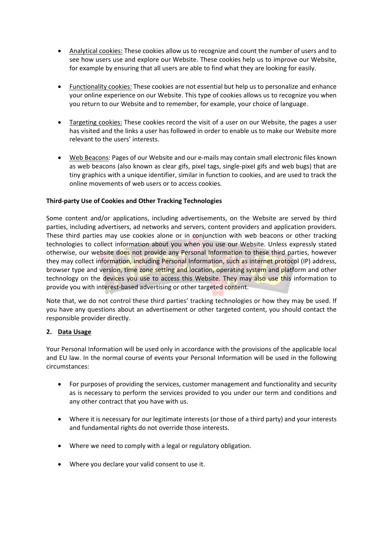- Analytical cookies: These cookies allow us to recognize and count the number of users and to see how users use and explore our Website. These cookies help us to improve our Website, for example by ensuring that all users are able to find what they are looking for easily.
- Functionality cookies: These cookies are not essential but help us to personalize and enhance your online experience on our Website. This type of cookies allows us to recognize you when you return to our Website and to remember, for example, your choice of language.
- Targeting cookies: These cookies record the visit of a user on our Website, the pages a user has visited and the links a user has followed in order to enable us to make our Website more relevant to the users' interests.
- Web Beacons: Pages of our Website and our e-mails may contain small electronic files known as web beacons (also known as clear gifs, pixel tags, single-pixel gifs and web bugs) that are tiny graphics with a unique identifier, similar in function to cookies, and are used to track the online movements of web users or to access cookies.

# **Third-party Use of Cookies and Other Tracking Technologies**

Some content and/or applications, including advertisements, on the Website are served by third parties, including advertisers, ad networks and servers, content providers and application providers. These third parties may use cookies alone or in conjunction with web beacons or other tracking technologies to collect information about you when you use our Website. Unless expressly stated otherwise, our website does not provide any Personal Information to these third parties, however they may collect information, including Personal Information, such as internet protocol (IP) address, browser type and version, time zone setting and location, operating system and platform and other technology on the devices you use to access this Website. They may also use this information to provide you with interest-based advertising or other targeted content.

Note that, we do not control these third parties' tracking technologies or how they may be used. If you have any questions about an advertisement or other targeted content, you should contact the responsible provider directly.

#### **2. Data Usage**

Your Personal Information will be used only in accordance with the provisions of the applicable local and EU law. In the normal course of events your Personal Information will be used in the following circumstances:

- For purposes of providing the services, customer management and functionality and security as is necessary to perform the services provided to you under our term and conditions and any other contract that you have with us.
- Where it is necessary for our legitimate interests (or those of a third party) and your interests and fundamental rights do not override those interests.
- Where we need to comply with a legal or regulatory obligation.
- Where you declare your valid consent to use it.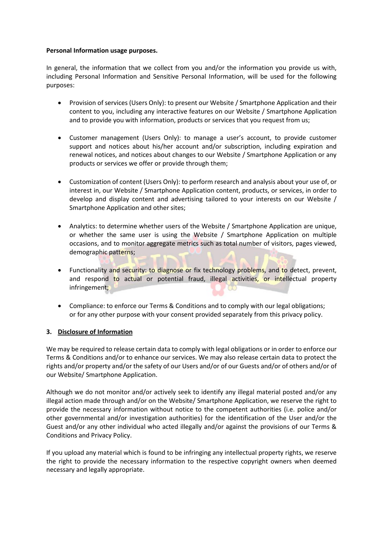#### **Personal Information usage purposes.**

In general, the information that we collect from you and/or the information you provide us with, including Personal Information and Sensitive Personal Information, will be used for the following purposes:

- Provision of services (Users Only): to present our Website / Smartphone Application and their content to you, including any interactive features on our Website / Smartphone Application and to provide you with information, products or services that you request from us;
- Customer management (Users Only): to manage a user's account, to provide customer support and notices about his/her account and/or subscription, including expiration and renewal notices, and notices about changes to our Website / Smartphone Application or any products or services we offer or provide through them;
- Customization of content (Users Only): to perform research and analysis about your use of, or interest in, our Website / Smartphone Application content, products, or services, in order to develop and display content and advertising tailored to your interests on our Website / Smartphone Application and other sites;
- Analytics: to determine whether users of the Website / Smartphone Application are unique, or whether the same user is using the Website / Smartphone Application on multiple occasions, and to monitor aggregate metrics such as total number of visitors, pages viewed, demographic patterns;
- Functionality and security: to diagnose or fix technology problems, and to detect, prevent, and respond to actual or potential fraud, illegal activities, or intellectual property infringement;
- Compliance: to enforce our Terms & Conditions and to comply with our legal obligations; or for any other purpose with your consent provided separately from this privacy policy.

#### **3. Disclosure of Information**

We may be required to release certain data to comply with legal obligations or in order to enforce our Terms & Conditions and/or to enhance our services. We may also release certain data to protect the rights and/or property and/or the safety of our Users and/or of our Guests and/or of others and/or of our Website/ Smartphone Application.

Although we do not monitor and/or actively seek to identify any illegal material posted and/or any illegal action made through and/or on the Website/ Smartphone Application, we reserve the right to provide the necessary information without notice to the competent authorities (i.e. police and/or other governmental and/or investigation authorities) for the identification of the User and/or the Guest and/or any other individual who acted illegally and/or against the provisions of our Terms & Conditions and Privacy Policy.

If you upload any material which is found to be infringing any intellectual property rights, we reserve the right to provide the necessary information to the respective copyright owners when deemed necessary and legally appropriate.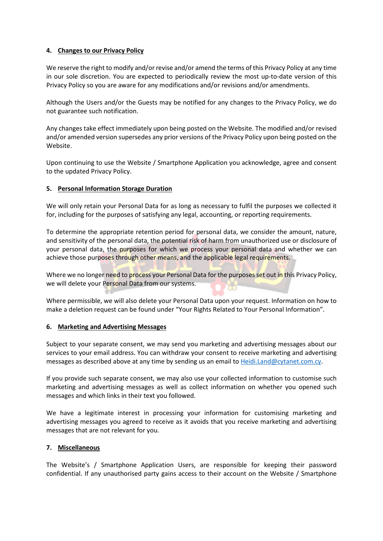# **4. Changes to our Privacy Policy**

We reserve the right to modify and/or revise and/or amend the terms of this Privacy Policy at any time in our sole discretion. You are expected to periodically review the most up-to-date version of this Privacy Policy so you are aware for any modifications and/or revisions and/or amendments.

Although the Users and/or the Guests may be notified for any changes to the Privacy Policy, we do not guarantee such notification.

Any changes take effect immediately upon being posted on the Website. The modified and/or revised and/or amended version supersedes any prior versions of the Privacy Policy upon being posted on the Website.

Upon continuing to use the Website / Smartphone Application you acknowledge, agree and consent to the updated Privacy Policy.

# **5. Personal Information Storage Duration**

We will only retain your Personal Data for as long as necessary to fulfil the purposes we collected it for, including for the purposes of satisfying any legal, accounting, or reporting requirements.

To determine the appropriate retention period for personal data, we consider the amount, nature, and sensitivity of the personal data, the potential risk of harm from unauthorized use or disclosure of your personal data, the purposes for which we process your personal data and whether we can achieve those purposes through other means, and the applicable legal requirements.

Where we no longer need to process your Personal Data for the purposes set out in this Privacy Policy, we will delete your Personal Data from our systems.

Where permissible, we will also delete your Personal Data upon your request. Information on how to make a deletion request can be found under "Your Rights Related to Your Personal Information".

#### **6. Marketing and Advertising Messages**

Subject to your separate consent, we may send you marketing and advertising messages about our services to your email address. You can withdraw your consent to receive marketing and advertising messages as described above at any time by sending us an email to **Heidi.Land@cytanet.com.cy**.

If you provide such separate consent, we may also use your collected information to customise such marketing and advertising messages as well as collect information on whether you opened such messages and which links in their text you followed.

We have a legitimate interest in processing your information for customising marketing and advertising messages you agreed to receive as it avoids that you receive marketing and advertising messages that are not relevant for you.

#### **7. Miscellaneous**

The Website's / Smartphone Application Users, are responsible for keeping their password confidential. If any unauthorised party gains access to their account on the Website / Smartphone